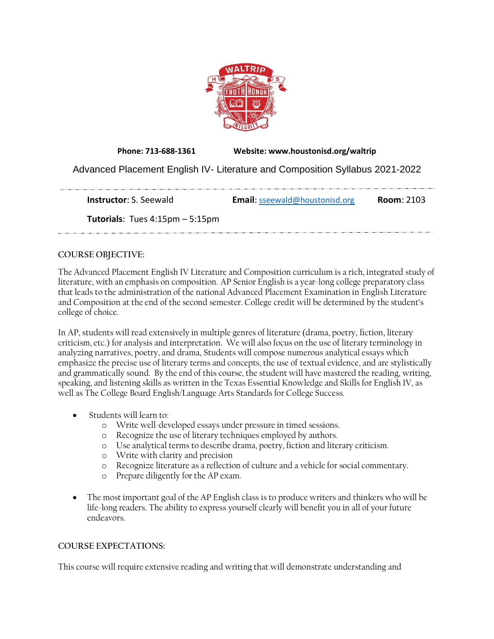

**Phone: 713-688-1361 Website: www.houstonisd.org/waltrip** Advanced Placement English IV- Literature and Composition Syllabus 2021-2022

**Instructor**: S. Seewald **Email**: [sseewald@houstonisd.org](mailto:sseewald@houstonisd.org) **Room**: 2103 **Tutorials**: Tues 4:15pm – 5:15pm <u>. 1989 - 1989 - 1989 - 1989 - 1989 - 1989 - 1989 - 1989 - 1989 - 1989 - 1989 - 1980 - 1980 - 1980 - 1980 - 1980 - 1980 - 1980 - 1980 - 1980 - 1980 - 1980 - 1980 - 1980 - 1980 - 1980 - 1</u>

# **COURSE OBJECTIVE:**

The Advanced Placement English IV Literature and Composition curriculum is a rich, integrated study of literature, with an emphasis on composition. AP Senior English is a year-long college preparatory class that leads to the administration of the national Advanced Placement Examination in English Literature and Composition at the end of the second semester. College credit will be determined by the student's college of choice.

In AP, students will read extensively in multiple genres of literature (drama, poetry, fiction, literary criticism, etc.) for analysis and interpretation. We will also focus on the use of literary terminology in analyzing narratives, poetry, and drama, Students will compose numerous analytical essays which emphasize the precise use of literary terms and concepts, the use of textual evidence, and are stylistically and grammatically sound. By the end of this course, the student will have mastered the reading, writing, speaking, and listening skills as written in the Texas Essential Knowledge and Skills for English 1V, as well as The College Board English/Language Arts Standards for College Success.

- Students will learn to:
	- o Write well-developed essays under pressure in timed sessions.
	- o Recognize the use of literary techniques employed by authors.
	- o Use analytical terms to describe drama, poetry, fiction and literary criticism.
	- o Write with clarity and precision
	- o Recognize literature as a reflection of culture and a vehicle for social commentary.
	- o Prepare diligently for the AP exam.
- The most important goal of the AP English class is to produce writers and thinkers who will be life-long readers. The ability to express yourself clearly will benefit you in all of your future endeavors.

# **COURSE EXPECTATIONS:**

This course will require extensive reading and writing that will demonstrate understanding and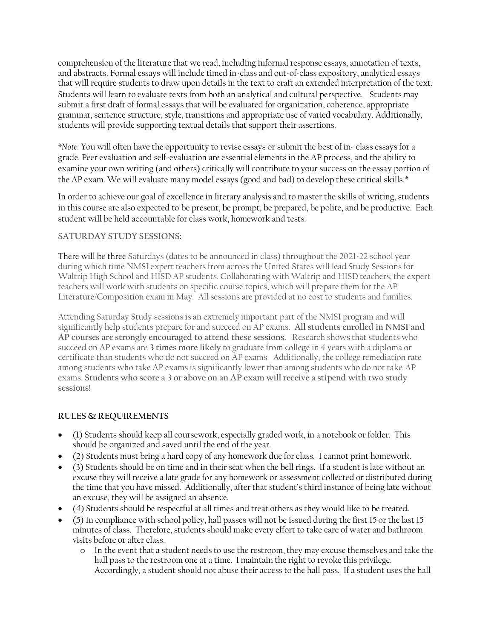comprehension of the literature that we read, including informal response essays, annotation of texts, and abstracts. Formal essays will include timed in-class and out-of-class expository, analytical essays that will require students to draw upon details in the text to craft an extended interpretation of the text. Students will learn to evaluate texts from both an analytical and cultural perspective. Students may submit a first draft of formal essays that will be evaluated for organization, coherence, appropriate grammar, sentence structure, style, transitions and appropriate use of varied vocabulary. Additionally, students will provide supporting textual details that support their assertions.

*\*Note*: You will often have the opportunity to revise essays or submit the best of in- class essays for a grade. Peer evaluation and self-evaluation are essential elements in the AP process, and the ability to examine your own writing (and others) critically will contribute to your success on the essay portion of the AP exam. We will evaluate many model essays (good and bad) to develop these critical skills.\*

In order to achieve our goal of excellence in literary analysis and to master the skills of writing, students in this course are also expected to be present, be prompt, be prepared, be polite, and be productive. Each student will be held accountable for class work, homework and tests.

# **SATURDAY STUDY SESSIONS:**

There will be three Saturdays (dates to be announced in class) throughout the 2021-22 school year during which time NMSI expert teachers from across the United States will lead Study Sessions for Waltrip High School and HISD AP students. Collaborating with Waltrip and HISD teachers, the expert teachers will work with students on specific course topics, which will prepare them for the AP Literature/Composition exam in May. All sessions are provided at no cost to students and families.

Attending Saturday Study sessions is an extremely important part of the NMSI program and will significantly help students prepare for and succeed on AP exams. **All students enrolled in NMSI and AP courses are strongly encouraged to attend these sessions.** Research shows that students who succeed on AP exams are **3 times more likely** to graduate from college in 4 years with a diploma or certificate than students who do not succeed on AP exams. Additionally, the college remediation rate among students who take AP exams is significantly lower than among students who do not take AP exams. **Students who score a 3 or above on an AP exam will receive a stipend with two study sessions!**

# **RULES & REQUIREMENTS**

- (1) Students should keep all coursework, especially graded work, in a notebook or folder. This should be organized and saved until the end of the year.
- (2) Students must bring a hard copy of any homework due for class. I cannot print homework.
- (3) Students should be on time and in their seat when the bell rings. If a student is late without an excuse they will receive a late grade for any homework or assessment collected or distributed during the time that you have missed. Additionally, after that student's third instance of being late without an excuse, they will be assigned an absence.
- (4) Students should be respectful at all times and treat others as they would like to be treated.
- (5) In compliance with school policy, hall passes will not be issued during the first 15 or the last 15 minutes of class. Therefore, students should make every effort to take care of water and bathroom visits before or after class.
	- o In the event that a student needs to use the restroom, they may excuse themselves and take the hall pass to the restroom one at a time. I maintain the right to revoke this privilege. Accordingly, a student should not abuse their access to the hall pass. If a student uses the hall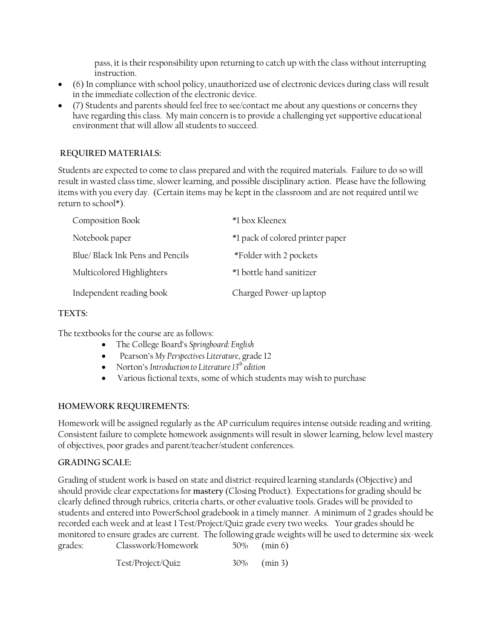pass, it is their responsibility upon returning to catch up with the class without interrupting instruction.

- (6) In compliance with school policy, unauthorized use of electronic devices during class will result in the immediate collection of the electronic device.
- (7) Students and parents should feel free to see/contact me about any questions or concerns they have regarding this class. My main concern is to provide a challenging yet supportive educational environment that will allow all students to succeed.

# **REQUIRED MATERIALS:**

Students are expected to come to class prepared and with the required materials. Failure to do so will result in wasted class time, slower learning, and possible disciplinary action. Please have the following items with you every day. (Certain items may be kept in the classroom and are not required until we return to school\*).

| Composition Book                 | *1 box Kleenex                   |
|----------------------------------|----------------------------------|
| Notebook paper                   | *1 pack of colored printer paper |
| Blue/ Black Ink Pens and Pencils | *Folder with 2 pockets           |
| Multicolored Highlighters        | *1 bottle hand sanitizer         |
| Independent reading book         | Charged Power-up laptop          |

# **TEXTS:**

The textbooks for the course are as follows:

- The College Board's *Springboard: English*
- Pearson's *My Perspectives Literature*, grade 12
- Norton's *Introduction to Literature 13 th edition*
- Various fictional texts, some of which students may wish to purchase

# **HOMEWORK REQUIREMENTS:**

Homework will be assigned regularly as the AP curriculum requires intense outside reading and writing. Consistent failure to complete homework assignments will result in slower learning, below level mastery of objectives, poor grades and parent/teacher/student conferences.

#### **GRADING SCALE:**

Grading of student work is based on state and district-required learning standards (Objective) and should provide clear expectations for **mastery** (Closing Product). Expectations for grading should be clearly defined through rubrics, criteria charts, or other evaluative tools. Grades will be provided to students and entered into PowerSchool gradebook in a timely manner. A minimum of 2 grades should be recorded each week and at least 1 Test/Project/Quiz grade every two weeks. Your grades should be monitored to ensure grades are current. The following grade weights will be used to determine six-week grades: Classwork/Homework 50% (min 6)

Test/Project/Quiz 30% (min 3)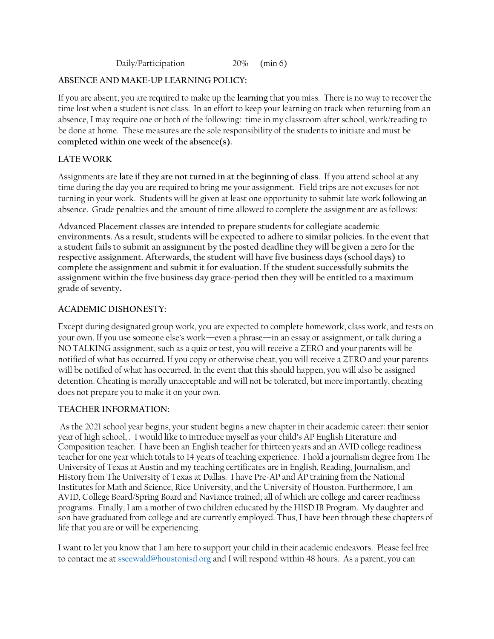Daily/Participation 20% (min 6)

#### **ABSENCE AND MAKE-UP LEARNING POLICY:**

If you are absent, you are required to make up the **learning** that you miss. There is no way to recover the time lost when a student is not class. In an effort to keep your learning on track when returning from an absence, I may require one or both of the following: time in my classroom after school, work/reading to be done at home. These measures are the sole responsibility of the students to initiate and must be **completed within one week of the absence(s).**

### **LATE WORK**

Assignments are **late if they are not turned in at the beginning of class**. If you attend school at any time during the day you are required to bring me your assignment. Field trips are not excuses for not turning in your work. Students will be given at least one opportunity to submit late work following an absence. Grade penalties and the amount of time allowed to complete the assignment are as follows:

**Advanced Placement classes are intended to prepare students for collegiate academic environments. As a result, students will be expected to adhere to similar policies. In the event that a student fails to submit an assignment by the posted deadline they will be given a zero for the respective assignment. Afterwards, the student will have five business days (school days) to complete the assignment and submit it for evaluation. If the student successfully submits the assignment within the five business day grace-period then they will be entitled to a maximum grade of seventy.**

#### **ACADEMIC DISHONESTY:**

Except during designated group work, you are expected to complete homework, class work, and tests on your own. If you use someone else's work—even a phrase—in an essay or assignment, or talk during a NO TALKING assignment, such as a quiz or test, you will receive a ZERO and your parents will be notified of what has occurred. If you copy or otherwise cheat, you will receive a ZERO and your parents will be notified of what has occurred. In the event that this should happen, you will also be assigned detention. Cheating is morally unacceptable and will not be tolerated, but more importantly, cheating does not prepare you to make it on your own.

#### **TEACHER INFORMATION:**

As the 2021 school year begins, your student begins a new chapter in their academic career: their senior year of high school, . I would like to introduce myself as your child's AP English Literature and Composition teacher. I have been an English teacher for thirteen years and an AVID college readiness teacher for one year which totals to 14 years of teaching experience. I hold a journalism degree from The University of Texas at Austin and my teaching certificates are in English, Reading, Journalism, and History from The University of Texas at Dallas. I have Pre-AP and AP training from the National Institutes for Math and Science, Rice University, and the University of Houston. Furthermore, I am AVID, College Board/Spring Board and Naviance trained; all of which are college and career readiness programs. Finally, I am a mother of two children educated by the HISD IB Program. My daughter and son have graduated from college and are currently employed. Thus, I have been through these chapters of life that you are or will be experiencing.

I want to let you know that I am here to support your child in their academic endeavors. Please feel free to contact me a[t sseewald@houstonisd.org](mailto:sseewald@houstonisd.org) and I will respond within 48 hours. As a parent, you can